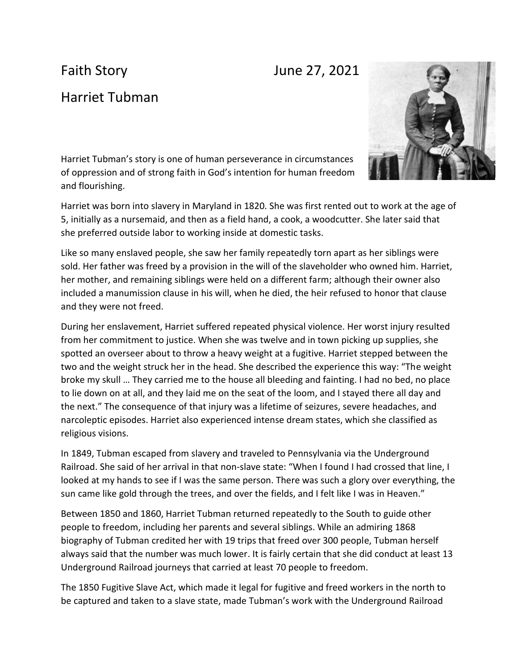## Faith Story **June 27, 2021**

## Harriet Tubman



Harriet Tubman's story is one of human perseverance in circumstances of oppression and of strong faith in God's intention for human freedom and flourishing.

Harriet was born into slavery in Maryland in 1820. She was first rented out to work at the age of 5, initially as a nursemaid, and then as a field hand, a cook, a woodcutter. She later said that she preferred outside labor to working inside at domestic tasks.

Like so many enslaved people, she saw her family repeatedly torn apart as her siblings were sold. Her father was freed by a provision in the will of the slaveholder who owned him. Harriet, her mother, and remaining siblings were held on a different farm; although their owner also included a manumission clause in his will, when he died, the heir refused to honor that clause and they were not freed.

During her enslavement, Harriet suffered repeated physical violence. Her worst injury resulted from her commitment to justice. When she was twelve and in town picking up supplies, she spotted an overseer about to throw a heavy weight at a fugitive. Harriet stepped between the two and the weight struck her in the head. She described the experience this way: "The weight broke my skull … They carried me to the house all bleeding and fainting. I had no bed, no place to lie down on at all, and they laid me on the seat of the loom, and I stayed there all day and the next." The consequence of that injury was a lifetime of seizures, severe headaches, and narcoleptic episodes. Harriet also experienced intense dream states, which she classified as religious visions.

In 1849, Tubman escaped from slavery and traveled to Pennsylvania via the Underground Railroad. She said of her arrival in that non-slave state: "When I found I had crossed that line, I looked at my hands to see if I was the same person. There was such a glory over everything, the sun came like gold through the trees, and over the fields, and I felt like I was in Heaven."

Between 1850 and 1860, Harriet Tubman returned repeatedly to the South to guide other people to freedom, including her parents and several siblings. While an admiring 1868 biography of Tubman credited her with 19 trips that freed over 300 people, Tubman herself always said that the number was much lower. It is fairly certain that she did conduct at least 13 Underground Railroad journeys that carried at least 70 people to freedom.

The 1850 Fugitive Slave Act, which made it legal for fugitive and freed workers in the north to be captured and taken to a slave state, made Tubman's work with the Underground Railroad